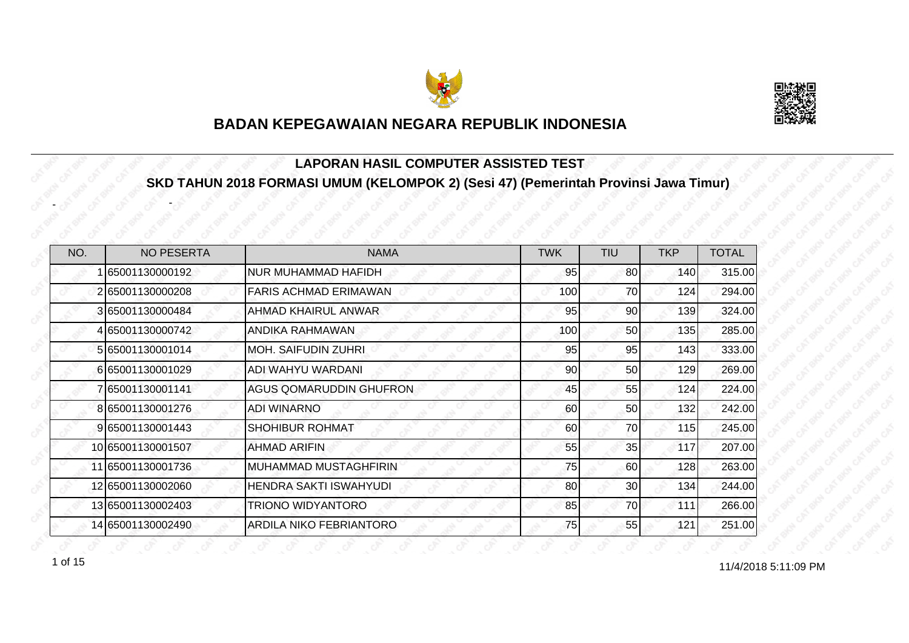



#### **LAPORAN HASIL COMPUTER ASSISTED TEST SKD TAHUN 2018 FORMASI UMUM (KELOMPOK 2) (Sesi 47) (Pemerintah Provinsi Jawa Timur)**

| NO. | <b>NO PESERTA</b> | <b>NAMA</b>                  | <b>TWK</b> | TIU             | <b>TKP</b> | <b>TOTAL</b> |
|-----|-------------------|------------------------------|------------|-----------------|------------|--------------|
|     | 65001130000192    | <b>NUR MUHAMMAD HAFIDH</b>   | 95         | 80              | 140        | 315.00       |
|     | 265001130000208   | <b>FARIS ACHMAD ERIMAWAN</b> | 100        | 70              | 124        | 294.00       |
|     | 3 65001130000484  | AHMAD KHAIRUL ANWAR          | 95         | 90              | 139        | 324.00       |
|     | 4 65001130000742  | ANDIKA RAHMAWAN              | 100        | 50              | 135        | 285.00       |
|     | 5 65001130001014  | <b>MOH. SAIFUDIN ZUHRI</b>   | 95         | 95              | 143        | 333.00       |
|     | 665001130001029   | ADI WAHYU WARDANI            | 90         | 50              | 129        | 269.00       |
|     | 765001130001141   | AGUS QOMARUDDIN GHUFRON      | 45         | 55              | 124        | 224.00       |
|     | 8 65001130001276  | ADI WINARNO                  | 60         | 50              | 132        | 242.00       |
|     | 9 65001130001443  | SHOHIBUR ROHMAT              | 60         | 70              | 115        | 245.00       |
|     | 10 65001130001507 | <b>AHMAD ARIFIN</b>          | 55         | 35              | 117        | 207.00       |
|     | 11 65001130001736 | <b>MUHAMMAD MUSTAGHFIRIN</b> | 75         | 60              | 128        | 263.00       |
|     | 12 65001130002060 | HENDRA SAKTI ISWAHYUDI       | 80         | 30 <sup>°</sup> | 134        | 244.00       |
|     | 13 65001130002403 | TRIONO WIDYANTORO            | 85         | 70              | 111        | 266.00       |
|     | 14 65001130002490 | ARDILA NIKO FEBRIANTORO      | 75         | 55              | 121        | 251.00       |

1 of 15

-

-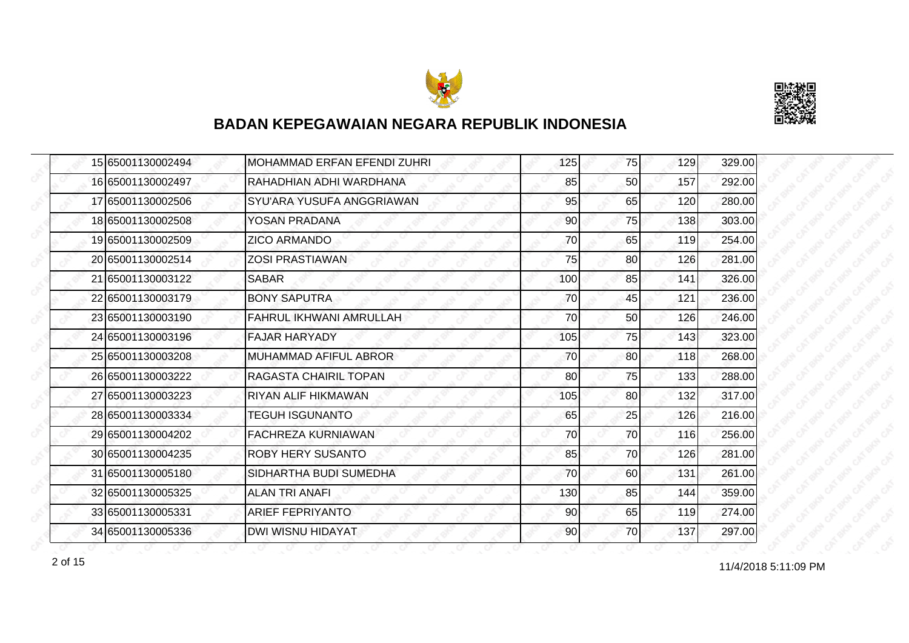



|  | 15 65001130002494 | <b>MOHAMMAD ERFAN EFENDI ZUHRI</b> | 125 | 75 | 129 | 329.00 |
|--|-------------------|------------------------------------|-----|----|-----|--------|
|  | 16 65001130002497 | RAHADHIAN ADHI WARDHANA            | 85  | 50 | 157 | 292.00 |
|  | 17 65001130002506 | SYU'ARA YUSUFA ANGGRIAWAN          | 95  | 65 | 120 | 280.00 |
|  | 18 65001130002508 | YOSAN PRADANA                      | 90  | 75 | 138 | 303.00 |
|  | 19 65001130002509 | <b>ZICO ARMANDO</b>                | 70  | 65 | 119 | 254.00 |
|  | 20 65001130002514 | <b>ZOSI PRASTIAWAN</b>             | 75  | 80 | 126 | 281.00 |
|  | 21 65001130003122 | <b>SABAR</b>                       | 100 | 85 | 141 | 326.00 |
|  | 22 65001130003179 | <b>BONY SAPUTRA</b>                | 70  | 45 | 121 | 236.00 |
|  | 23 65001130003190 | FAHRUL IKHWANI AMRULLAH            | 70  | 50 | 126 | 246.00 |
|  | 24 65001130003196 | <b>FAJAR HARYADY</b>               | 105 | 75 | 143 | 323.00 |
|  | 25 65001130003208 | MUHAMMAD AFIFUL ABROR              | 70  | 80 | 118 | 268.00 |
|  | 26 65001130003222 | RAGASTA CHAIRIL TOPAN              | 80  | 75 | 133 | 288.00 |
|  | 27 65001130003223 | <b>RIYAN ALIF HIKMAWAN</b>         | 105 | 80 | 132 | 317.00 |
|  | 28 65001130003334 | <b>TEGUH ISGUNANTO</b>             | 65  | 25 | 126 | 216.00 |
|  | 29 65001130004202 | FACHREZA KURNIAWAN                 | 70  | 70 | 116 | 256.00 |
|  | 30 65001130004235 | <b>ROBY HERY SUSANTO</b>           | 85  | 70 | 126 | 281.00 |
|  | 31 65001130005180 | SIDHARTHA BUDI SUMEDHA             | 70  | 60 | 131 | 261.00 |
|  | 32 65001130005325 | <b>ALAN TRI ANAFI</b>              | 130 | 85 | 144 | 359.00 |
|  | 33 65001130005331 | <b>ARIEF FEPRIYANTO</b>            | 90  | 65 | 119 | 274.00 |
|  | 34 65001130005336 | DWI WISNU HIDAYAT                  | 90  | 70 | 137 | 297.00 |

11/4/2018 5:11:09 PM 2 of 15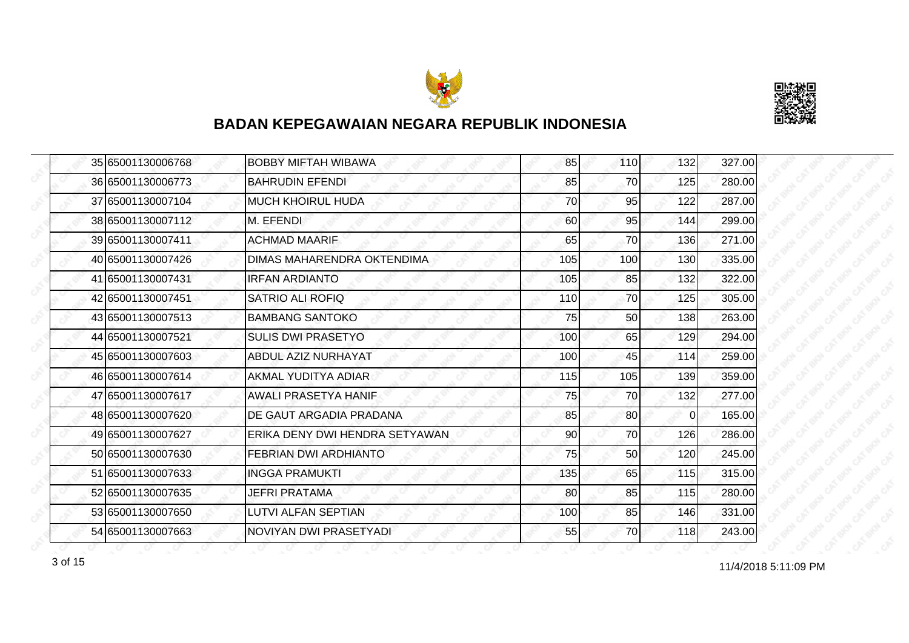



|  | 35 65001130006768 | <b>BOBBY MIFTAH WIBAWA</b>     | 85  | 110 | 132      | 327.00 |
|--|-------------------|--------------------------------|-----|-----|----------|--------|
|  | 36 65001130006773 | <b>BAHRUDIN EFENDI</b>         | 85  | 70  | 125      | 280.00 |
|  | 37 65001130007104 | <b>MUCH KHOIRUL HUDA</b>       | 70  | 95  | 122      | 287.00 |
|  | 38 65001130007112 | M. EFENDI                      | 60  | 95  | 144      | 299.00 |
|  | 39 65001130007411 | <b>ACHMAD MAARIF</b>           | 65  | 70  | 136      | 271.00 |
|  | 40 65001130007426 | DIMAS MAHARENDRA OKTENDIMA     | 105 | 100 | 130      | 335.00 |
|  | 41 65001130007431 | <b>IRFAN ARDIANTO</b>          | 105 | 85  | 132      | 322.00 |
|  | 42 65001130007451 | <b>SATRIO ALI ROFIQ</b>        | 110 | 70  | 125      | 305.00 |
|  | 43 65001130007513 | <b>BAMBANG SANTOKO</b>         | 75  | 50  | 138      | 263.00 |
|  | 44 65001130007521 | <b>SULIS DWI PRASETYO</b>      | 100 | 65  | 129      | 294.00 |
|  | 45 65001130007603 | ABDUL AZIZ NURHAYAT            | 100 | 45  | 114      | 259.00 |
|  | 46 65001130007614 | AKMAL YUDITYA ADIAR            | 115 | 105 | 139      | 359.00 |
|  | 47 65001130007617 | AWALI PRASETYA HANIF           | 75  | 70  | 132      | 277.00 |
|  | 48 65001130007620 | DE GAUT ARGADIA PRADANA        | 85  | 80  | $\Omega$ | 165.00 |
|  | 49 65001130007627 | ERIKA DENY DWI HENDRA SETYAWAN | 90  | 70  | 126      | 286.00 |
|  | 50 65001130007630 | FEBRIAN DWI ARDHIANTO          | 75  | 50  | 120      | 245.00 |
|  | 51 65001130007633 | <b>INGGA PRAMUKTI</b>          | 135 | 65  | 115      | 315.00 |
|  | 52 65001130007635 | JEFRI PRATAMA                  | 80  | 85  | 115      | 280.00 |
|  | 53 65001130007650 | LUTVI ALFAN SEPTIAN            | 100 | 85  | 146      | 331.00 |
|  | 54 65001130007663 | NOVIYAN DWI PRASETYADI         | 55  | 70  | 118      | 243.00 |

11/4/2018 5:11:09 PM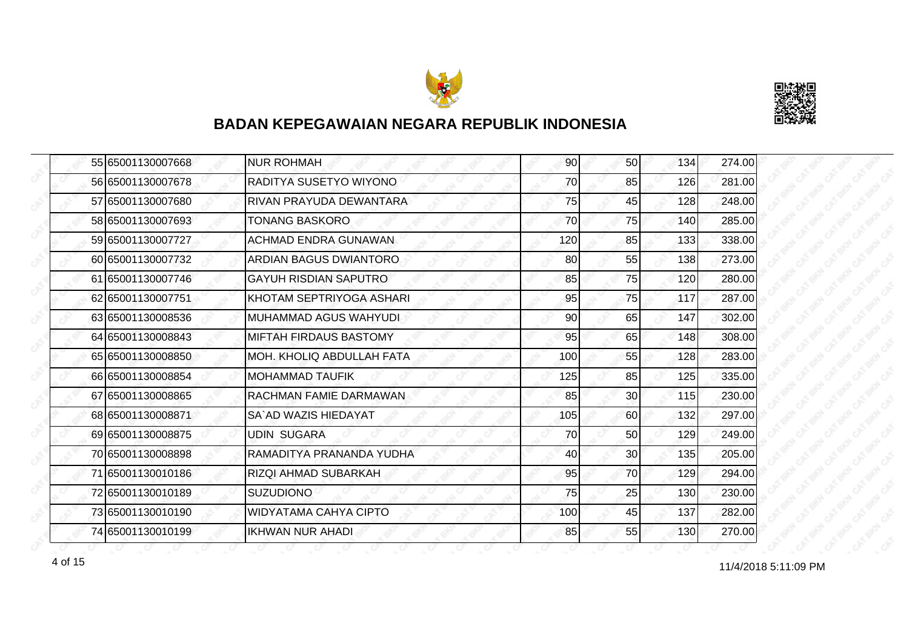



|  | 55 65001130007668 | <b>NUR ROHMAH</b>                | 90  | 50 <sub>l</sub> | 134 | 274.00 |
|--|-------------------|----------------------------------|-----|-----------------|-----|--------|
|  | 56 65001130007678 | RADITYA SUSETYO WIYONO           | 70  | 85              | 126 | 281.00 |
|  | 57 65001130007680 | RIVAN PRAYUDA DEWANTARA          | 75  | 45              | 128 | 248.00 |
|  | 58 65001130007693 | <b>TONANG BASKORO</b>            | 70  | 75              | 140 | 285.00 |
|  | 59 65001130007727 | <b>ACHMAD ENDRA GUNAWAN</b>      | 120 | 85              | 133 | 338.00 |
|  | 60 65001130007732 | ARDIAN BAGUS DWIANTORO           | 80  | 55              | 138 | 273.00 |
|  | 61 65001130007746 | <b>GAYUH RISDIAN SAPUTRO</b>     | 85  | 75              | 120 | 280.00 |
|  | 62 65001130007751 | KHOTAM SEPTRIYOGA ASHARI         | 95  | 75              | 117 | 287.00 |
|  | 63 65001130008536 | IMUHAMMAD AGUS WAHYUDI.          | 90  | 65              | 147 | 302.00 |
|  | 64 65001130008843 | <b>MIFTAH FIRDAUS BASTOMY</b>    | 95  | 65              | 148 | 308.00 |
|  | 65 65001130008850 | <b>MOH. KHOLIQ ABDULLAH FATA</b> | 100 | 55              | 128 | 283.00 |
|  | 66 65001130008854 | MOHAMMAD TAUFIK                  | 125 | 85              | 125 | 335.00 |
|  | 67 65001130008865 | <b>RACHMAN FAMIE DARMAWAN</b>    | 85  | 30 <sub>l</sub> | 115 | 230.00 |
|  | 68 65001130008871 | SA`AD WAZIS HIEDAYAT             | 105 | 60              | 132 | 297.00 |
|  | 69 65001130008875 | <b>UDIN SUGARA</b>               | 70  | 50              | 129 | 249.00 |
|  | 70 65001130008898 | RAMADITYA PRANANDA YUDHA         | 40  | 30 <sub>0</sub> | 135 | 205.00 |
|  | 71 65001130010186 | <b>RIZQI AHMAD SUBARKAH</b>      | 95  | 70              | 129 | 294.00 |
|  | 72 65001130010189 | <b>SUZUDIONO</b>                 | 75  | 25              | 130 | 230.00 |
|  | 73 65001130010190 | <b>WIDYATAMA CAHYA CIPTO</b>     | 100 | 45              | 137 | 282.00 |
|  | 74 65001130010199 | <b>IKHWAN NUR AHADI</b>          | 85  | 55              | 130 | 270.00 |

11/4/2018 5:11:09 PM 4 of 15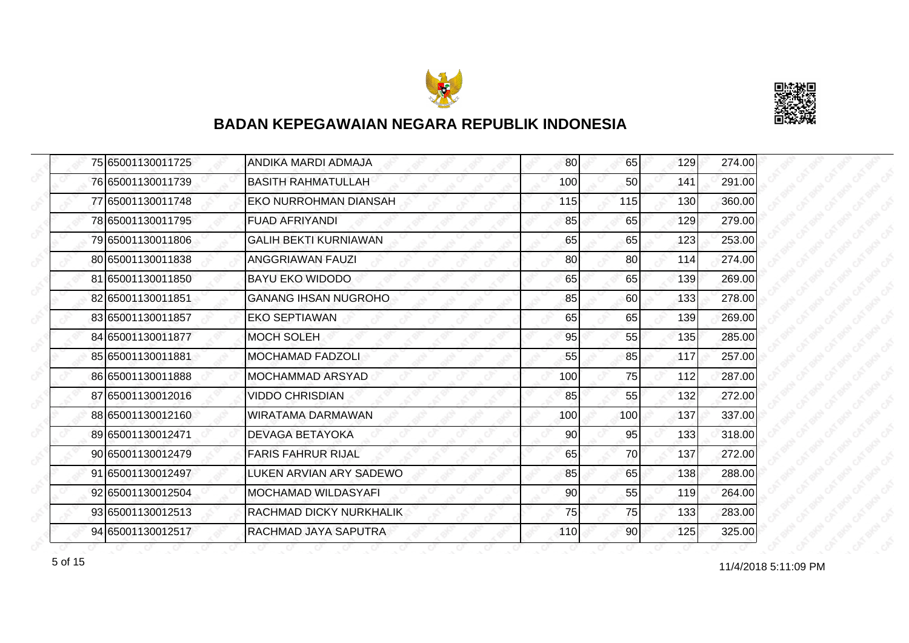



|  | 75 65001130011725 | ANDIKA MARDI ADMAJA          | 80  | 65              | 129 | 274.00 |
|--|-------------------|------------------------------|-----|-----------------|-----|--------|
|  | 76 65001130011739 | <b>BASITH RAHMATULLAH</b>    | 100 | 50 <sup>1</sup> | 141 | 291.00 |
|  | 77 65001130011748 | EKO NURROHMAN DIANSAH        | 115 | 115             | 130 | 360.00 |
|  | 78 65001130011795 | <b>FUAD AFRIYANDI</b>        | 85  | 65              | 129 | 279.00 |
|  | 79 65001130011806 | <b>GALIH BEKTI KURNIAWAN</b> | 65  | 65              | 123 | 253.00 |
|  | 80 65001130011838 | ANGGRIAWAN FAUZI             | 80  | 80              | 114 | 274.00 |
|  | 81 65001130011850 | <b>BAYU EKO WIDODO</b>       | 65  | 65              | 139 | 269.00 |
|  | 82 65001130011851 | <b>GANANG IHSAN NUGROHO</b>  | 85  | 60              | 133 | 278.00 |
|  | 83 65001130011857 | <b>EKO SEPTIAWAN</b>         | 65  | 65              | 139 | 269.00 |
|  | 84 65001130011877 | <b>MOCH SOLEH</b>            | 95  | 55              | 135 | 285.00 |
|  | 85 65001130011881 | <b>MOCHAMAD FADZOLI</b>      | 55  | 85              | 117 | 257.00 |
|  | 86 65001130011888 | MOCHAMMAD ARSYAD             | 100 | 75              | 112 | 287.00 |
|  | 87 65001130012016 | <b>VIDDO CHRISDIAN</b>       | 85  | 55              | 132 | 272.00 |
|  | 88 65001130012160 | <b>WIRATAMA DARMAWAN</b>     | 100 | 100             | 137 | 337.00 |
|  | 89 65001130012471 | DEVAGA BETAYOKA              | 90  | 95              | 133 | 318.00 |
|  | 90 65001130012479 | <b>FARIS FAHRUR RIJAL</b>    | 65  | 70              | 137 | 272.00 |
|  | 91 65001130012497 | LUKEN ARVIAN ARY SADEWO      | 85  | 65              | 138 | 288.00 |
|  | 92 65001130012504 | MOCHAMAD WILDASYAFI          | 90  | 55              | 119 | 264.00 |
|  | 93 65001130012513 | RACHMAD DICKY NURKHALIK      | 75  | 75              | 133 | 283.00 |
|  | 94 65001130012517 | RACHMAD JAYA SAPUTRA         | 110 | 90 <sub>l</sub> | 125 | 325.00 |

for the set of 15 of 15 of 15 of 15 of 15 of 11/4/2018 5:11:09 PM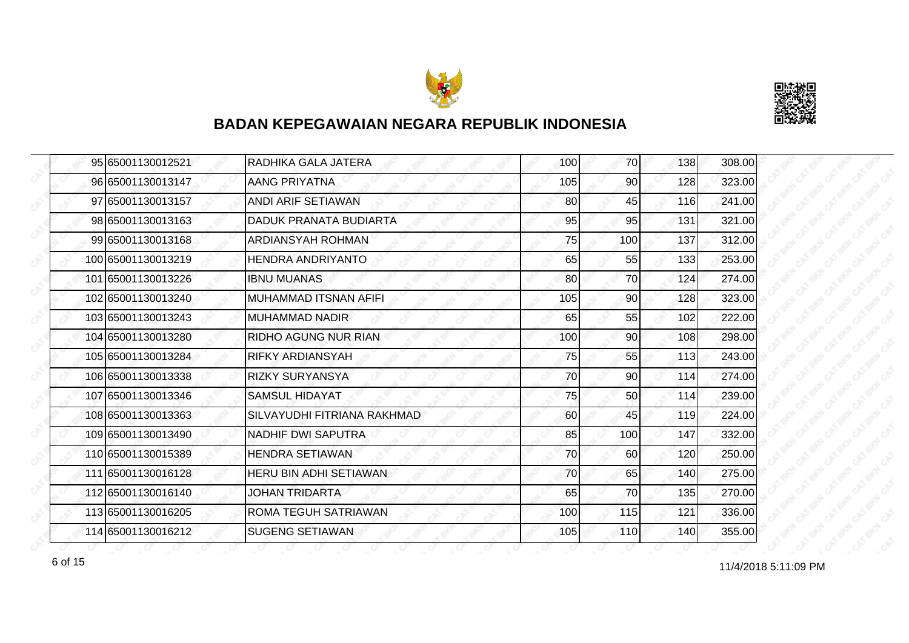



|  | 95 65001130012521  | RADHIKA GALA JATERA           | 100 | <b>70</b>       | 138 | 308.00 |
|--|--------------------|-------------------------------|-----|-----------------|-----|--------|
|  | 96 65001130013147  | AANG PRIYATNA                 | 105 | 90              | 128 | 323.00 |
|  | 97 65001130013157  | ANDI ARIF SETIAWAN            | 80  | 45              | 116 | 241.00 |
|  | 98 65001130013163  | DADUK PRANATA BUDIARTA        | 95  | 95              | 131 | 321.00 |
|  | 99 65001130013168  | ARDIANSYAH ROHMAN             | 75  | 100             | 137 | 312.00 |
|  | 100 65001130013219 | <b>HENDRA ANDRIYANTO</b>      | 65  | 55              | 133 | 253.00 |
|  | 101 65001130013226 | <b>IBNU MUANAS</b>            | 80  | 70              | 124 | 274.00 |
|  | 102165001130013240 | MUHAMMAD ITSNAN AFIFI         | 105 | 90              | 128 | 323.00 |
|  | 103 65001130013243 | MUHAMMAD NADIR                | 65  | 55              | 102 | 222.00 |
|  | 104 65001130013280 | RIDHO AGUNG NUR RIAN          | 100 | 90 <sub>l</sub> | 108 | 298.00 |
|  | 105 65001130013284 | <b>RIFKY ARDIANSYAH</b>       | 75  | 55              | 113 | 243.00 |
|  | 106 65001130013338 | <b>RIZKY SURYANSYA</b>        | 70  | 90              | 114 | 274.00 |
|  | 107 65001130013346 | <b>SAMSUL HIDAYAT</b>         | 75  | 50              | 114 | 239.00 |
|  | 108 65001130013363 | SILVAYUDHI FITRIANA RAKHMAD   | 60  | 45              | 119 | 224.00 |
|  | 109 65001130013490 | NADHIF DWI SAPUTRA            | 85  | 100             | 147 | 332.00 |
|  | 110 65001130015389 | <b>HENDRA SETIAWAN</b>        | 70  | 60              | 120 | 250.00 |
|  | 111 65001130016128 | <b>HERU BIN ADHI SETIAWAN</b> | 70  | 65              | 140 | 275.00 |
|  | 112 65001130016140 | <b>JOHAN TRIDARTA</b>         | 65  | 70              | 135 | 270.00 |
|  | 113 65001130016205 | ROMA TEGUH SATRIAWAN          | 100 | 115             | 121 | 336.00 |
|  | 114 65001130016212 | <b>SUGENG SETIAWAN</b>        | 105 | 110             | 140 | 355.00 |

11/4/2018 5:11:09 PM 6 of 15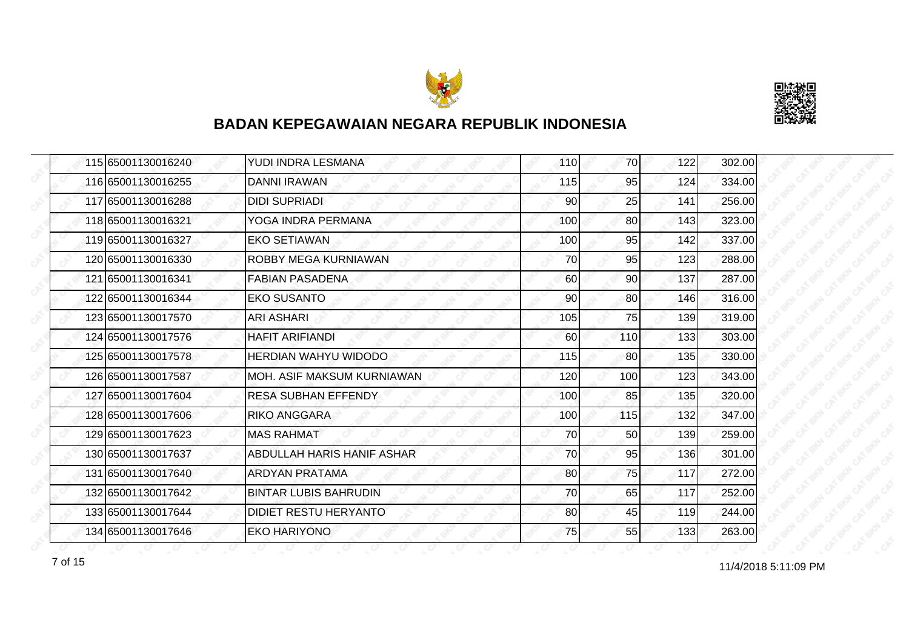



|  | 115 65001130016240 | YUDI INDRA LESMANA           | 110 | 70              | 122 | 302.00 |
|--|--------------------|------------------------------|-----|-----------------|-----|--------|
|  | 116 65001130016255 | <b>DANNI IRAWAN</b>          | 115 | 95              | 124 | 334.00 |
|  | 117 65001130016288 | <b>DIDI SUPRIADI</b>         | 90  | 25              | 141 | 256.00 |
|  | 118 65001130016321 | YOGA INDRA PERMANA           | 100 | 80 <sup>1</sup> | 143 | 323.00 |
|  | 119 65001130016327 | <b>EKO SETIAWAN</b>          | 100 | 95              | 142 | 337.00 |
|  | 120 65001130016330 | ROBBY MEGA KURNIAWAN         | 70  | 95              | 123 | 288.00 |
|  | 121 65001130016341 | <b>FABIAN PASADENA</b>       | 60  | 90 <sup>1</sup> | 137 | 287.00 |
|  | 122 65001130016344 | <b>EKO SUSANTO</b>           | 90  | 80              | 146 | 316.00 |
|  | 123 65001130017570 | <b>ARI ASHARI</b>            | 105 | 75              | 139 | 319.00 |
|  | 124 65001130017576 | <b>HAFIT ARIFIANDI</b>       | 60  | <b>110</b>      | 133 | 303.00 |
|  | 125 65001130017578 | <b>HERDIAN WAHYU WIDODO</b>  | 115 | 80              | 135 | 330.00 |
|  | 126 65001130017587 | IMOH. ASIF MAKSUM KURNIAWAN  | 120 | 100             | 123 | 343.00 |
|  | 127165001130017604 | <b>RESA SUBHAN EFFENDY</b>   | 100 | 85              | 135 | 320.00 |
|  | 128 65001130017606 | <b>RIKO ANGGARA</b>          | 100 | 115             | 132 | 347.00 |
|  | 129 65001130017623 | <b>MAS RAHMAT</b>            | 70  | 50              | 139 | 259.00 |
|  | 130 65001130017637 | ABDULLAH HARIS HANIF ASHAR   | 70  | 95              | 136 | 301.00 |
|  | 131 65001130017640 | <b>ARDYAN PRATAMA</b>        | 80  | 75              | 117 | 272.00 |
|  | 132 65001130017642 | <b>BINTAR LUBIS BAHRUDIN</b> | 70  | 65              | 117 | 252.00 |
|  | 133 65001130017644 | DIDIET RESTU HERYANTO        | 80  | 45              | 119 | 244.00 |
|  | 134 65001130017646 | <b>EKO HARIYONO</b>          | 75  | 55              | 133 | 263.00 |

11/4/2018 5:11:09 PM 7 of 15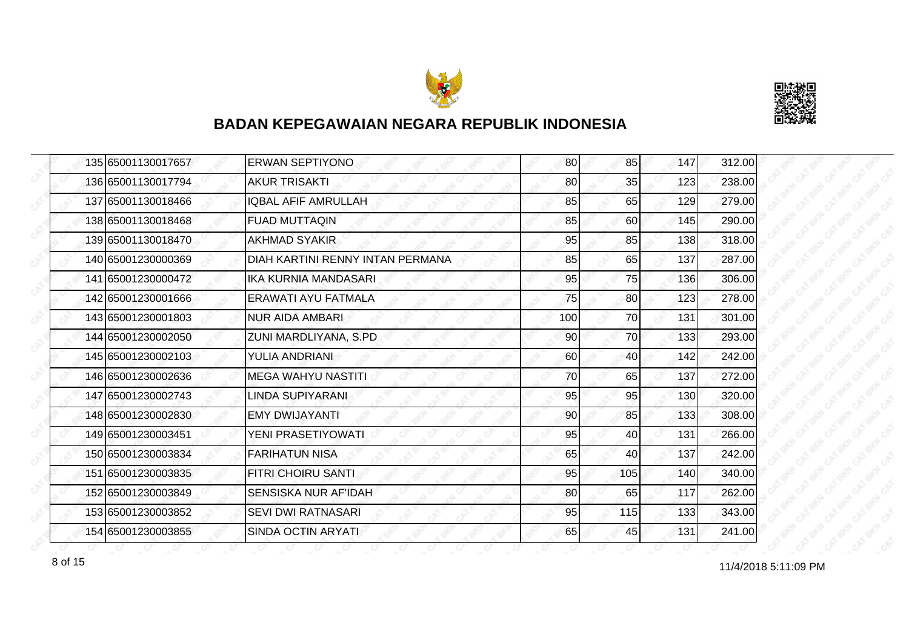



|  | 135 65001130017657 | <b>ERWAN SEPTIYONO</b>           | 80  | 85  | 147 | 312.00 |
|--|--------------------|----------------------------------|-----|-----|-----|--------|
|  | 136 65001130017794 | <b>AKUR TRISAKTI</b>             | 80  | 35  | 123 | 238.00 |
|  | 137 65001130018466 | <b>IQBAL AFIF AMRULLAH</b>       | 85  | 65  | 129 | 279.00 |
|  | 138 65001130018468 | <b>FUAD MUTTAQIN</b>             | 85  | 60  | 145 | 290.00 |
|  | 139 65001130018470 | <b>AKHMAD SYAKIR</b>             | 95  | 85  | 138 | 318.00 |
|  | 140 65001230000369 | DIAH KARTINI RENNY INTAN PERMANA | 85  | 65  | 137 | 287.00 |
|  | 141 65001230000472 | IKA KURNIA MANDASARI             | 95  | 75  | 136 | 306.00 |
|  | 142 65001230001666 | ERAWATI AYU FATMALA              | 75  | 80  | 123 | 278.00 |
|  | 143 65001230001803 | <b>NUR AIDA AMBARI</b>           | 100 | 70  | 131 | 301.00 |
|  | 144 65001230002050 | ZUNI MARDLIYANA, S.PD            | 90  | 70  | 133 | 293.00 |
|  | 145 65001230002103 | YULIA ANDRIANI                   | 60  | 40  | 142 | 242.00 |
|  | 146 65001230002636 | <b>MEGA WAHYU NASTITI</b>        | 70  | 65  | 137 | 272.00 |
|  | 147 65001230002743 | <b>LINDA SUPIYARANI</b>          | 95  | 95  | 130 | 320.00 |
|  | 148 65001230002830 | EMY DWIJAYANTI                   | 90  | 85  | 133 | 308.00 |
|  | 149 65001230003451 | YENI PRASETIYOWATI               | 95  | 40  | 131 | 266.00 |
|  | 150 65001230003834 | <b>FARIHATUN NISA</b>            | 65  | 40  | 137 | 242.00 |
|  | 151 65001230003835 | <b>FITRI CHOIRU SANTI</b>        | 95  | 105 | 140 | 340.00 |
|  | 152 65001230003849 | SENSISKA NUR AF'IDAH             | 80  | 65  | 117 | 262.00 |
|  | 153 65001230003852 | <b>SEVI DWI RATNASARI</b>        | 95  | 115 | 133 | 343.00 |
|  | 154 65001230003855 | SINDA OCTIN ARYATI               | 65  | 45  | 131 | 241.00 |

11/4/2018 5:11:09 PM 8 of 15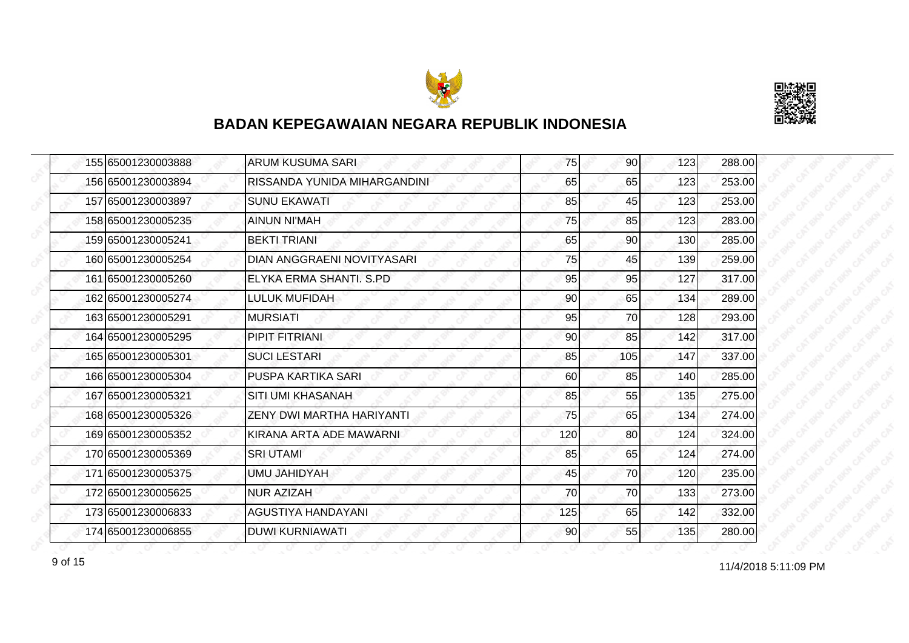



|  | 155 65001230003888 | <b>ARUM KUSUMA SARI</b>      | 75  | 90 <sup>1</sup> | 123 | 288.00 |
|--|--------------------|------------------------------|-----|-----------------|-----|--------|
|  | 156 65001230003894 | RISSANDA YUNIDA MIHARGANDINI | 65  | 65              | 123 | 253.00 |
|  | 157 65001230003897 | <b>SUNU EKAWATI</b>          | 85  | 45              | 123 | 253.00 |
|  | 158 65001230005235 | <b>AINUN NI'MAH</b>          | 75  | 85              | 123 | 283.00 |
|  | 159 65001230005241 | <b>BEKTI TRIANI</b>          | 65  | 90 <sub>0</sub> | 130 | 285.00 |
|  | 160 65001230005254 | DIAN ANGGRAENI NOVITYASARI   | 75  | 45              | 139 | 259.00 |
|  | 161 65001230005260 | ELYKA ERMA SHANTI, S.PD      | 95  | 95              | 127 | 317.00 |
|  | 162 65001230005274 | LULUK MUFIDAH                | 90  | 65              | 134 | 289.00 |
|  | 163 65001230005291 | <b>MURSIATI</b>              | 95  | 70              | 128 | 293.00 |
|  | 164 65001230005295 | PIPIT FITRIANI               | 90  | 85              | 142 | 317.00 |
|  | 165 65001230005301 | <b>SUCI LESTARI</b>          | 85  | 105             | 147 | 337.00 |
|  | 166 65001230005304 | PUSPA KARTIKA SARI           | 60  | 85              | 140 | 285.00 |
|  | 167 65001230005321 | <b>SITI UMI KHASANAH</b>     | 85  | 55              | 135 | 275.00 |
|  | 168 65001230005326 | ZENY DWI MARTHA HARIYANTI    | 75  | 65              | 134 | 274.00 |
|  | 169 65001230005352 | KIRANA ARTA ADE MAWARNI      | 120 | 80              | 124 | 324.00 |
|  | 170 65001230005369 | <b>SRI UTAMI</b>             | 85  | 65              | 124 | 274.00 |
|  | 171 65001230005375 | UMU JAHIDYAH                 | 45  | 70              | 120 | 235.00 |
|  | 172 65001230005625 | <b>NUR AZIZAH</b>            | 70  | 70              | 133 | 273.00 |
|  | 173 65001230006833 | AGUSTIYA HANDAYANI           | 125 | 65              | 142 | 332.00 |
|  | 174 65001230006855 | <b>DUWI KURNIAWATI</b>       | 90  | 55              | 135 | 280.00 |

11/4/2018 5:11:09 PM 9 of 15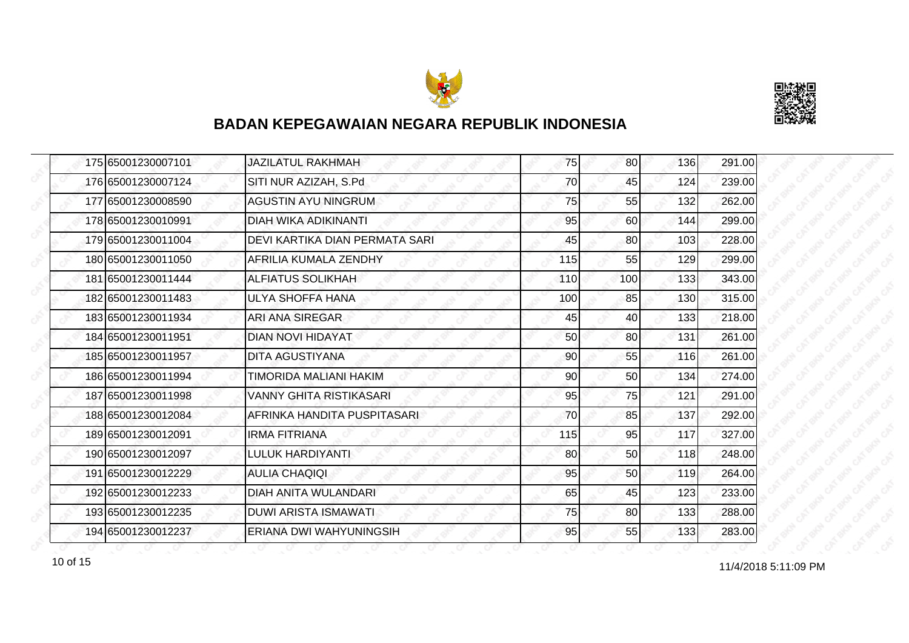



|  | 175 65001230007101 | <b>JAZILATUL RAKHMAH</b>       | 75  | 80  | 136 | 291.00 |
|--|--------------------|--------------------------------|-----|-----|-----|--------|
|  | 176 65001230007124 | SITI NUR AZIZAH, S.Pd          | 70  | 45  | 124 | 239.00 |
|  | 177 65001230008590 | <b>AGUSTIN AYU NINGRUM</b>     | 75  | 55  | 132 | 262.00 |
|  | 178 65001230010991 | <b>DIAH WIKA ADIKINANTI</b>    | 95  | 60  | 144 | 299.00 |
|  | 179 65001230011004 | DEVI KARTIKA DIAN PERMATA SARI | 45  | 80  | 103 | 228.00 |
|  | 180 65001230011050 | AFRILIA KUMALA ZENDHY          | 115 | 55  | 129 | 299.00 |
|  | 181 65001230011444 | <b>ALFIATUS SOLIKHAH</b>       | 110 | 100 | 133 | 343.00 |
|  | 182 65001230011483 | <b>ULYA SHOFFA HANA</b>        | 100 | 85  | 130 | 315.00 |
|  | 183 65001230011934 | ARI ANA SIREGAR                | 45  | 40  | 133 | 218.00 |
|  | 184 65001230011951 | DIAN NOVI HIDAYAT              | 50  | 80  | 131 | 261.00 |
|  | 185 65001230011957 | <b>DITA AGUSTIYANA</b>         | 90  | 55  | 116 | 261.00 |
|  | 186 65001230011994 | TIMORIDA MALIANI HAKIM         | 90  | 50  | 134 | 274.00 |
|  | 187 65001230011998 | VANNY GHITA RISTIKASARI        | 95  | 75  | 121 | 291.00 |
|  | 188 65001230012084 | AFRINKA HANDITA PUSPITASARI    | 70  | 85  | 137 | 292.00 |
|  | 189 65001230012091 | <b>IRMA FITRIANA</b>           | 115 | 95  | 117 | 327.00 |
|  | 190 65001230012097 | LULUK HARDIYANTI               | 80  | 50  | 118 | 248.00 |
|  | 191 65001230012229 | <b>AULIA CHAQIQI</b>           | 95  | 50  | 119 | 264.00 |
|  | 192 65001230012233 | DIAH ANITA WULANDARI           | 65  | 45  | 123 | 233.00 |
|  | 193 65001230012235 | <b>DUWI ARISTA ISMAWATI</b>    | 75  | 80  | 133 | 288.00 |
|  | 194 65001230012237 | ERIANA DWI WAHYUNINGSIH        | 95  | 55  | 133 | 283.00 |

11/4/2018 5:11:09 PM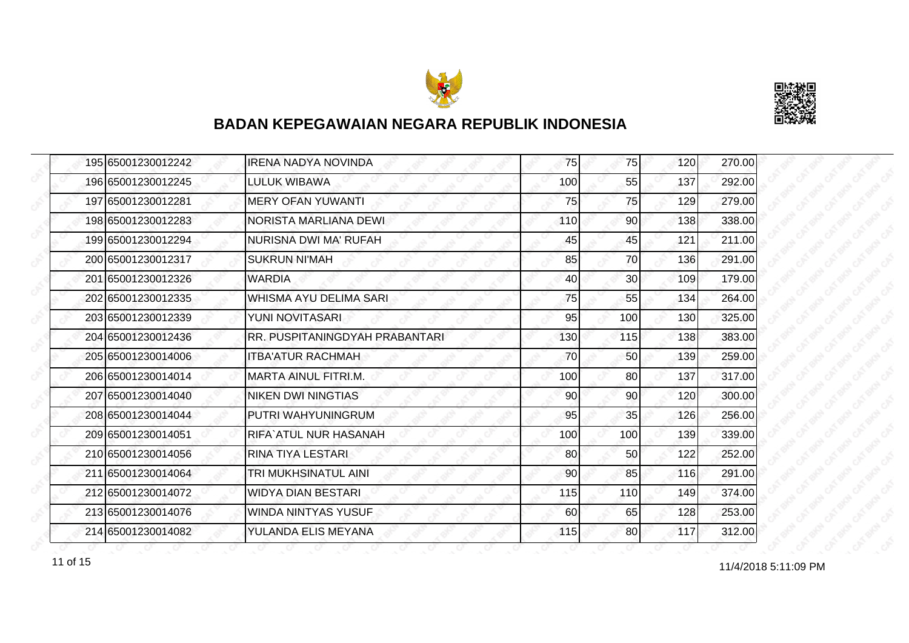



|  | 195 65001230012242 | <b>IRENA NADYA NOVINDA</b>     | 75  | 75              | 120 | 270.00 |
|--|--------------------|--------------------------------|-----|-----------------|-----|--------|
|  | 196 65001230012245 | LULUK WIBAWA                   | 100 | 55              | 137 | 292.00 |
|  | 197 65001230012281 | <b>MERY OFAN YUWANTI</b>       | 75  | 75              | 129 | 279.00 |
|  | 198 65001230012283 | NORISTA MARLIANA DEWI          | 110 | 90 <sub>l</sub> | 138 | 338.00 |
|  | 199 65001230012294 | NURISNA DWI MA' RUFAH          | 45  | 45              | 121 | 211.00 |
|  | 200 65001230012317 | <b>SUKRUN NI'MAH</b>           | 85  | 70              | 136 | 291.00 |
|  | 201 65001230012326 | <b>WARDIA</b>                  | 40  | 30 <sup>1</sup> | 109 | 179.00 |
|  | 202 65001230012335 | WHISMA AYU DELIMA SARI         | 75  | 55              | 134 | 264.00 |
|  | 203165001230012339 | YUNI NOVITASARI                | 95  | 100             | 130 | 325.00 |
|  | 204 65001230012436 | RR. PUSPITANINGDYAH PRABANTARI | 130 | 115             | 138 | 383.00 |
|  | 205 65001230014006 | <b>ITBA'ATUR RACHMAH</b>       | 70  | 50              | 139 | 259.00 |
|  | 206165001230014014 | <b>MARTA AINUL FITRI.M.</b>    | 100 | 80              | 137 | 317.00 |
|  | 207 65001230014040 | <b>NIKEN DWI NINGTIAS</b>      | 90  | 90              | 120 | 300.00 |
|  | 208 65001230014044 | IPUTRI WAHYUNINGRUM            | 95  | 35              | 126 | 256.00 |
|  | 209 65001230014051 | RIFA`ATUL NUR HASANAH          | 100 | 100             | 139 | 339.00 |
|  | 210 65001230014056 | RINA TIYA LESTARI              | 80  | 50              | 122 | 252.00 |
|  | 211 65001230014064 | TRI MUKHSINATUL AINI           | 90  | 85              | 116 | 291.00 |
|  | 212 65001230014072 | <b>WIDYA DIAN BESTARI</b>      | 115 | 110             | 149 | 374.00 |
|  | 213 65001230014076 | <b>WINDA NINTYAS YUSUF</b>     | 60  | 65              | 128 | 253.00 |
|  | 214 65001230014082 | YULANDA ELIS MEYANA            | 115 | 80              | 117 | 312.00 |

11 of 15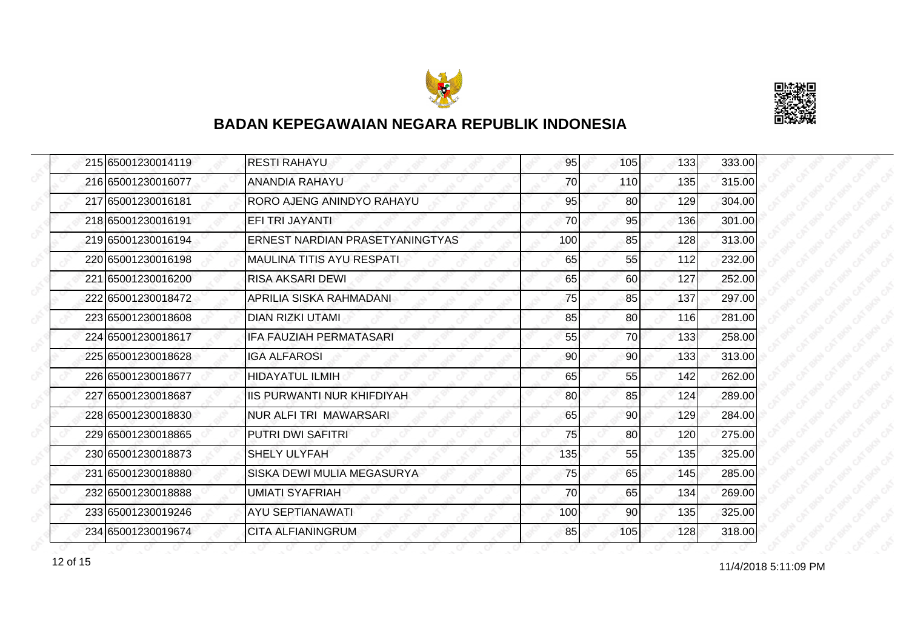



|  | 215 65001230014119 | <b>RESTI RAHAYU</b>               | 95  | 105 | 133 | 333.00 |
|--|--------------------|-----------------------------------|-----|-----|-----|--------|
|  | 216 65001230016077 | <b>ANANDIA RAHAYU</b>             | 70  | 110 | 135 | 315.00 |
|  | 217165001230016181 | RORO AJENG ANINDYO RAHAYU         | 95  | 80  | 129 | 304.00 |
|  | 218 65001230016191 | EFI TRI JAYANTI                   | 70  | 95  | 136 | 301.00 |
|  | 219 65001230016194 | ERNEST NARDIAN PRASETYANINGTYAS   | 100 | 85  | 128 | 313.00 |
|  | 220165001230016198 | IMAULINA TITIS AYU RESPATI        | 65  | 55  | 112 | 232.00 |
|  | 221 65001230016200 | <b>RISA AKSARI DEWI</b>           | 65  | 60  | 127 | 252.00 |
|  | 222 65001230018472 | APRILIA SISKA RAHMADANI           | 75  | 85  | 137 | 297.00 |
|  | 223165001230018608 | DIAN RIZKI UTAMI                  | 85  | 80  | 116 | 281.00 |
|  | 224 65001230018617 | IFA FAUZIAH PERMATASARI           | 55  | 70  | 133 | 258.00 |
|  | 225 65001230018628 | <b>IGA ALFAROSI</b>               | 90  | 90  | 133 | 313.00 |
|  | 226165001230018677 | <b>HIDAYATUL ILMIH</b>            | 65  | 55  | 142 | 262.00 |
|  | 227 65001230018687 | <b>IIS PURWANTI NUR KHIFDIYAH</b> | 80  | 85  | 124 | 289.00 |
|  | 228 65001230018830 | NUR ALFI TRI MAWARSARI            | 65  | 90  | 129 | 284.00 |
|  | 229165001230018865 | <b>PUTRI DWI SAFITRI</b>          | 75  | 80  | 120 | 275.00 |
|  | 230 65001230018873 | <b>SHELY ULYFAH</b>               | 135 | 55  | 135 | 325.00 |
|  | 231 65001230018880 | SISKA DEWI MULIA MEGASURYA        | 75  | 65  | 145 | 285.00 |
|  | 232165001230018888 | UMIATI SYAFRIAH                   | 70  | 65  | 134 | 269.00 |
|  | 233 65001230019246 | <b>AYU SEPTIANAWATI</b>           | 100 | 90  | 135 | 325.00 |
|  | 234 65001230019674 | <b>CITA ALFIANINGRUM</b>          | 85  | 105 | 128 | 318.00 |

12 of 15<br>11/4/2018 5:11:09 PM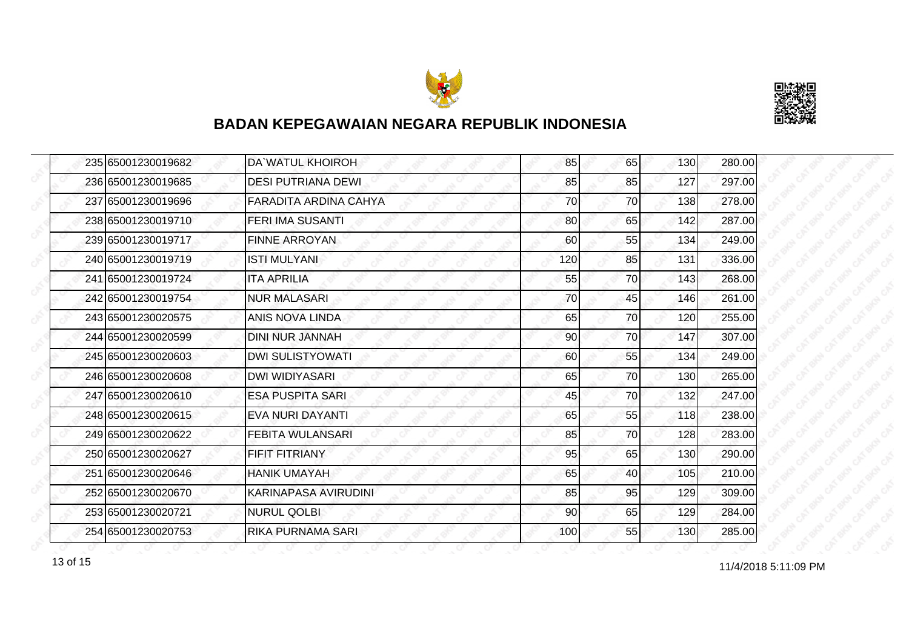



|  | 235 65001230019682 | DA`WATUL KHOIROH          | 85  | 65 | 130 | 280.00 |
|--|--------------------|---------------------------|-----|----|-----|--------|
|  | 236 65001230019685 | <b>DESI PUTRIANA DEWI</b> | 85  | 85 | 127 | 297.00 |
|  | 237 65001230019696 | FARADITA ARDINA CAHYA     | 70  | 70 | 138 | 278.00 |
|  | 238 65001230019710 | <b>FERI IMA SUSANTI</b>   | 80  | 65 | 142 | 287.00 |
|  | 239 65001230019717 | <b>FINNE ARROYAN</b>      | 60  | 55 | 134 | 249.00 |
|  | 240 65001230019719 | <b>ISTI MULYANI</b>       | 120 | 85 | 131 | 336.00 |
|  | 241 65001230019724 | <b>ITA APRILIA</b>        | 55  | 70 | 143 | 268.00 |
|  | 242 65001230019754 | <b>NUR MALASARI</b>       | 70  | 45 | 146 | 261.00 |
|  | 243 65001230020575 | ANIS NOVA LINDA           | 65  | 70 | 120 | 255.00 |
|  | 244 65001230020599 | <b>DINI NUR JANNAH</b>    | 90  | 70 | 147 | 307.00 |
|  | 245 65001230020603 | <b>DWI SULISTYOWATI</b>   | 60  | 55 | 134 | 249.00 |
|  | 246 65001230020608 | <b>DWI WIDIYASARI</b>     | 65  | 70 | 130 | 265.00 |
|  | 247 65001230020610 | <b>ESA PUSPITA SARI</b>   | 45  | 70 | 132 | 247.00 |
|  | 248 65001230020615 | EVA NURI DAYANTI          | 65  | 55 | 118 | 238.00 |
|  | 249 65001230020622 | FEBITA WULANSARI          | 85  | 70 | 128 | 283.00 |
|  | 250 65001230020627 | FIFIT FITRIANY            | 95  | 65 | 130 | 290.00 |
|  | 251 65001230020646 | <b>HANIK UMAYAH</b>       | 65  | 40 | 105 | 210.00 |
|  | 252 65001230020670 | KARINAPASA AVIRUDINI      | 85  | 95 | 129 | 309.00 |
|  | 253 65001230020721 | <b>NURUL QOLBI</b>        | 90  | 65 | 129 | 284.00 |
|  | 254 65001230020753 | RIKA PURNAMA SARI         | 100 | 55 | 130 | 285.00 |

13 of 15 and 11/4/2018 5:11:09 PM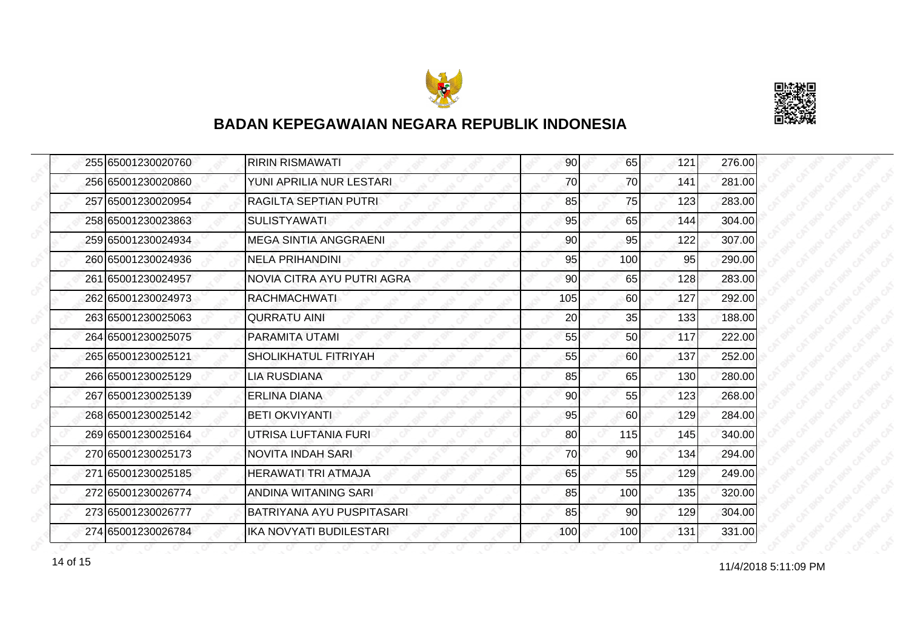



| 255 65001230020760 | <b>RIRIN RISMAWATI</b>       | 90  | 65              | 121 | 276.00 |
|--------------------|------------------------------|-----|-----------------|-----|--------|
| 256 65001230020860 | YUNI APRILIA NUR LESTARI     | 70  | 70              | 141 | 281.00 |
| 257 65001230020954 | <b>RAGILTA SEPTIAN PUTRI</b> | 85  | 75              | 123 | 283.00 |
| 258 65001230023863 | <b>SULISTYAWATI</b>          | 95  | 65              | 144 | 304.00 |
| 259 65001230024934 | <b>MEGA SINTIA ANGGRAENI</b> | 90  | 95              | 122 | 307.00 |
| 260 65001230024936 | <b>NELA PRIHANDINI</b>       | 95  | 100             | 95  | 290.00 |
| 261 65001230024957 | NOVIA CITRA AYU PUTRI AGRA   | 90  | 65              | 128 | 283.00 |
| 262 65001230024973 | <b>RACHMACHWATI</b>          | 105 | 60              | 127 | 292.00 |
| 263 65001230025063 | <b>QURRATU AINI</b>          | 20  | 35              | 133 | 188.00 |
| 264 65001230025075 | <b>PARAMITA UTAMI</b>        | 55  | 50 <sub>l</sub> | 117 | 222.00 |
| 265 65001230025121 | SHOLIKHATUL FITRIYAH         | 55  | 60              | 137 | 252.00 |
| 266 65001230025129 | <b>LIA RUSDIANA</b>          | 85  | 65              | 130 | 280.00 |
| 267 65001230025139 | <b>ERLINA DIANA</b>          | 90  | 55              | 123 | 268.00 |
| 268 65001230025142 | <b>BETI OKVIYANTI</b>        | 95  | 60              | 129 | 284.00 |
| 269 65001230025164 | UTRISA LUFTANIA FURI         | 80  | 115             | 145 | 340.00 |
| 270 65001230025173 | <b>NOVITA INDAH SARI</b>     | 70  | 90              | 134 | 294.00 |
| 271 65001230025185 | HERAWATI TRI ATMAJA          | 65  | 55              | 129 | 249.00 |
| 272 65001230026774 | ANDINA WITANING SARI         | 85  | 100             | 135 | 320.00 |
| 273 65001230026777 | BATRIYANA AYU PUSPITASARI    | 85  | 90              | 129 | 304.00 |
| 274 65001230026784 | IKA NOVYATI BUDILESTARI      | 100 | 100             | 131 | 331.00 |

14 of 15<br>11/4/2018 5:11:09 PM